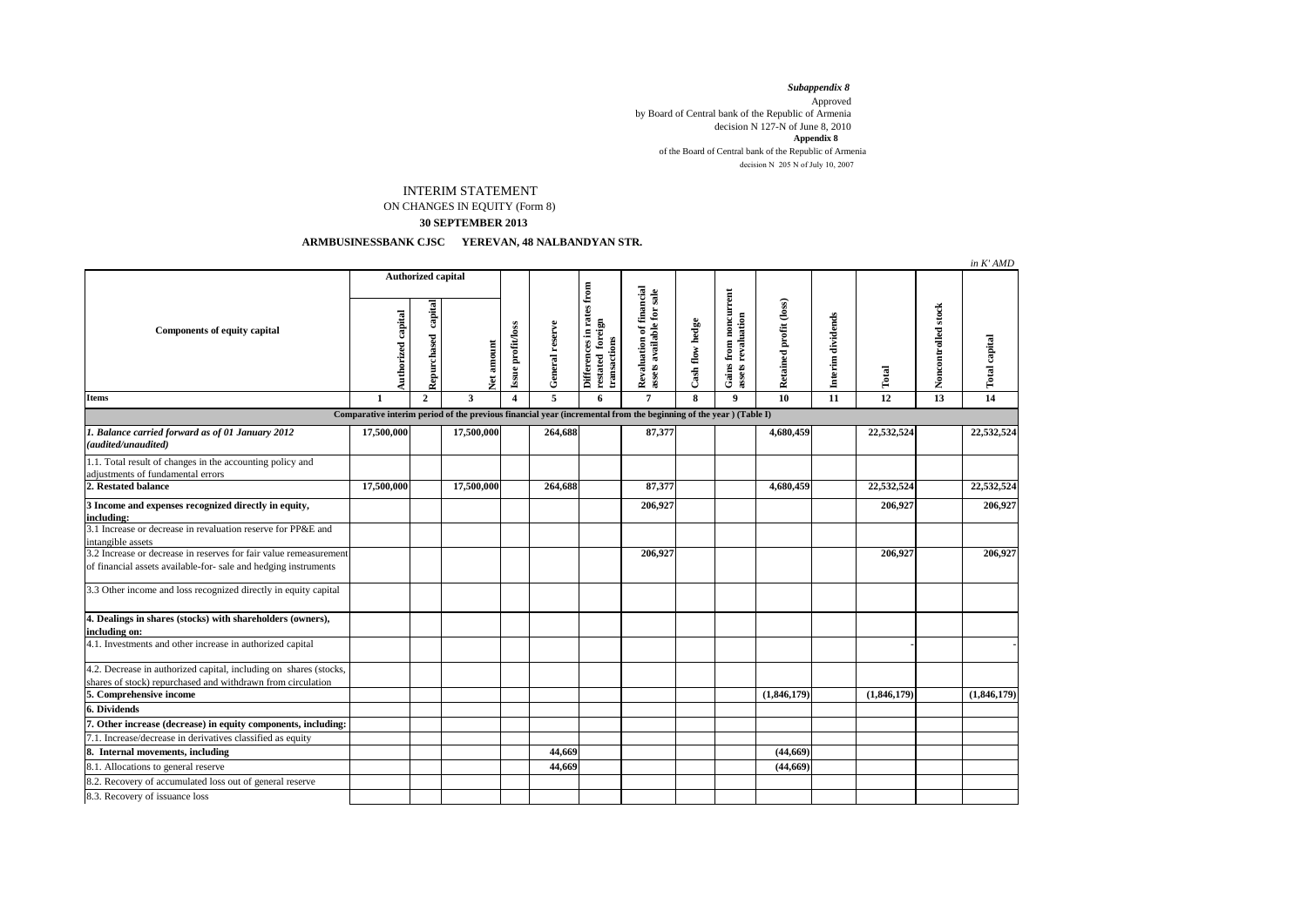*Subappendix 8*  Approved by Board of Central bank of the Republic of Armenia decision N 127-N of June 8, 2010 of the Board of Central bank of the Republic of Armenia decision N  $205$  N of July 10, 2007 **Appendix 8**

## INTERIM STATEMENT ON CHANGES IN EQUITY (Form 8)

## **30 SEPTEMBER 2013**

## **ARMBUSINESSBANK CJSC YEREVAN, 48 NALBANDYAN STR.**

|                                                                                                                                      |                           |                     |                         |                        |                 |                                                               |                                                       |                 |                                             |                        |                   |             |                     | in K'AMD      |
|--------------------------------------------------------------------------------------------------------------------------------------|---------------------------|---------------------|-------------------------|------------------------|-----------------|---------------------------------------------------------------|-------------------------------------------------------|-----------------|---------------------------------------------|------------------------|-------------------|-------------|---------------------|---------------|
| Components of equity capital                                                                                                         | <b>Authorized capital</b> |                     |                         |                        |                 |                                                               |                                                       |                 |                                             |                        |                   |             |                     |               |
|                                                                                                                                      | Authorized capital        | Repurchased capital | Net amount              | Issue profit/loss      | General reserve | Differences in rates from<br>restated foreign<br>transactions | Revaluation of financial<br>assets available for sale | Cash flow hedge | Gains from noncurrent<br>assets revaluation | Retained profit (loss) | Interim dividends | Total       | Noncontrolled stock | Total capital |
| <b>Items</b>                                                                                                                         | $\mathbf{1}$              | $\overline{2}$      | $\overline{\mathbf{3}}$ | $\boldsymbol{\Lambda}$ | $\overline{5}$  | 6                                                             | $\overline{7}$                                        | 8               | $\mathbf{Q}$                                | 10                     | $\overline{11}$   | 12          | $\overline{13}$     | 14            |
| Comparative interim period of the previous financial year (incremental from the beginning of the year) (Table I)                     |                           |                     |                         |                        |                 |                                                               |                                                       |                 |                                             |                        |                   |             |                     |               |
| 1. Balance carried forward as of 01 January 2012<br>(audited/unaudited)                                                              | 17,500,000                |                     | 17,500,000              |                        | 264,688         |                                                               | 87,377                                                |                 |                                             | 4,680,459              |                   | 22,532,524  |                     | 22,532,524    |
| 1.1. Total result of changes in the accounting policy and<br>adjustments of fundamental errors                                       |                           |                     |                         |                        |                 |                                                               |                                                       |                 |                                             |                        |                   |             |                     |               |
| 2. Restated balance                                                                                                                  | 17,500,000                |                     | 17,500,000              |                        | 264,688         |                                                               | 87,377                                                |                 |                                             | 4,680,459              |                   | 22,532,524  |                     | 22,532,524    |
| 3 Income and expenses recognized directly in equity,<br>including:                                                                   |                           |                     |                         |                        |                 |                                                               | 206,927                                               |                 |                                             |                        |                   | 206,927     |                     | 206,927       |
| 3.1 Increase or decrease in revaluation reserve for PP&E and<br>intangible assets                                                    |                           |                     |                         |                        |                 |                                                               |                                                       |                 |                                             |                        |                   |             |                     |               |
| 3.2 Increase or decrease in reserves for fair value remeasurement<br>of financial assets available-for- sale and hedging instruments |                           |                     |                         |                        |                 |                                                               | 206,927                                               |                 |                                             |                        |                   | 206,927     |                     | 206,927       |
| 3.3 Other income and loss recognized directly in equity capital                                                                      |                           |                     |                         |                        |                 |                                                               |                                                       |                 |                                             |                        |                   |             |                     |               |
| 4. Dealings in shares (stocks) with shareholders (owners),<br>including on:                                                          |                           |                     |                         |                        |                 |                                                               |                                                       |                 |                                             |                        |                   |             |                     |               |
| 4.1. Investments and other increase in authorized capital                                                                            |                           |                     |                         |                        |                 |                                                               |                                                       |                 |                                             |                        |                   |             |                     |               |
| 4.2. Decrease in authorized capital, including on shares (stocks,<br>shares of stock) repurchased and withdrawn from circulation     |                           |                     |                         |                        |                 |                                                               |                                                       |                 |                                             |                        |                   |             |                     |               |
| 5. Comprehensive income                                                                                                              |                           |                     |                         |                        |                 |                                                               |                                                       |                 |                                             | (1,846,179)            |                   | (1,846,179) |                     | (1,846,179)   |
| 6. Dividends                                                                                                                         |                           |                     |                         |                        |                 |                                                               |                                                       |                 |                                             |                        |                   |             |                     |               |
| 7. Other increase (decrease) in equity components, including:                                                                        |                           |                     |                         |                        |                 |                                                               |                                                       |                 |                                             |                        |                   |             |                     |               |
| 7.1. Increase/decrease in derivatives classified as equity                                                                           |                           |                     |                         |                        |                 |                                                               |                                                       |                 |                                             |                        |                   |             |                     |               |
| 8. Internal movements, including                                                                                                     |                           |                     |                         |                        | 44,669          |                                                               |                                                       |                 |                                             | (44, 669)              |                   |             |                     |               |
| 8.1. Allocations to general reserve                                                                                                  |                           |                     |                         |                        | 44,669          |                                                               |                                                       |                 |                                             | (44, 669)              |                   |             |                     |               |
| 8.2. Recovery of accumulated loss out of general reserve                                                                             |                           |                     |                         |                        |                 |                                                               |                                                       |                 |                                             |                        |                   |             |                     |               |
| 8.3. Recovery of issuance loss                                                                                                       |                           |                     |                         |                        |                 |                                                               |                                                       |                 |                                             |                        |                   |             |                     |               |